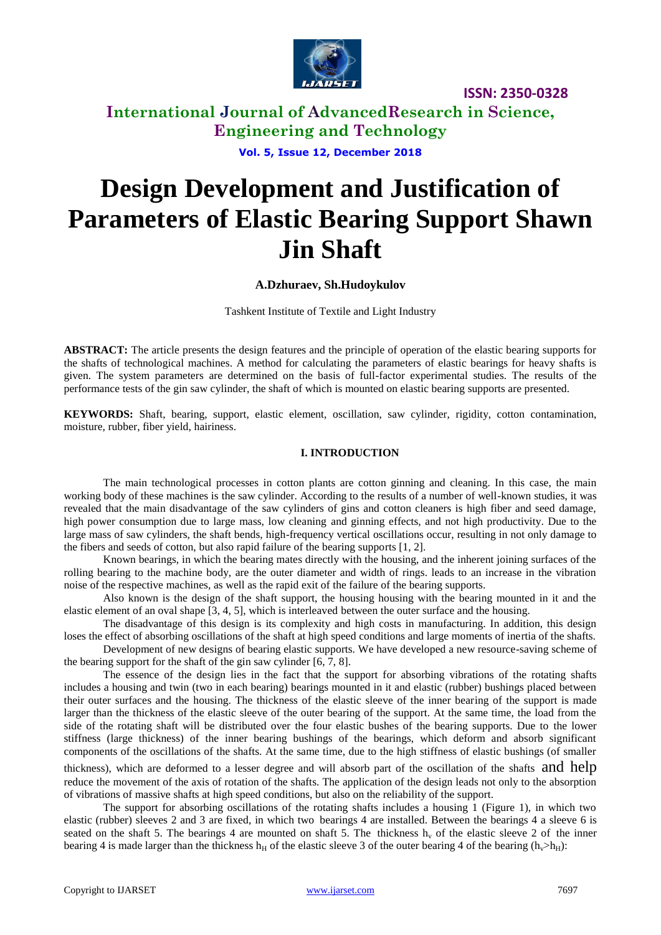

# **International Journal of AdvancedResearch in Science, Engineering and Technology**

**Vol. 5, Issue 12, December 2018**

# **Design Development and Justification of Parameters of Elastic Bearing Support Shawn Jin Shaft**

## **A.Dzhuraev, Sh.Hudoykulov**

Tashkent Institute of Textile and Light Industry

**ABSTRACT:** The article presents the design features and the principle of operation of the elastic bearing supports for the shafts of technological machines. A method for calculating the parameters of elastic bearings for heavy shafts is given. The system parameters are determined on the basis of full-factor experimental studies. The results of the performance tests of the gin saw cylinder, the shaft of which is mounted on elastic bearing supports are presented.

**KEYWORDS:** Shaft, bearing, support, elastic element, oscillation, saw cylinder, rigidity, cotton contamination, moisture, rubber, fiber yield, hairiness.

#### **I. INTRODUCTION**

The main technological processes in cotton plants are cotton ginning and cleaning. In this case, the main working body of these machines is the saw cylinder. According to the results of a number of well-known studies, it was revealed that the main disadvantage of the saw cylinders of gins and cotton cleaners is high fiber and seed damage, high power consumption due to large mass, low cleaning and ginning effects, and not high productivity. Due to the large mass of saw cylinders, the shaft bends, high-frequency vertical oscillations occur, resulting in not only damage to the fibers and seeds of cotton, but also rapid failure of the bearing supports [1, 2].

Known bearings, in which the bearing mates directly with the housing, and the inherent joining surfaces of the rolling bearing to the machine body, are the outer diameter and width of rings. leads to an increase in the vibration noise of the respective machines, as well as the rapid exit of the failure of the bearing supports.

Also known is the design of the shaft support, the housing housing with the bearing mounted in it and the elastic element of an oval shape [3, 4, 5], which is interleaved between the outer surface and the housing.

The disadvantage of this design is its complexity and high costs in manufacturing. In addition, this design loses the effect of absorbing oscillations of the shaft at high speed conditions and large moments of inertia of the shafts.

Development of new designs of bearing elastic supports. We have developed a new resource-saving scheme of the bearing support for the shaft of the gin saw cylinder [6, 7, 8].

The essence of the design lies in the fact that the support for absorbing vibrations of the rotating shafts includes a housing and twin (two in each bearing) bearings mounted in it and elastic (rubber) bushings placed between their outer surfaces and the housing. The thickness of the elastic sleeve of the inner bearing of the support is made larger than the thickness of the elastic sleeve of the outer bearing of the support. At the same time, the load from the side of the rotating shaft will be distributed over the four elastic bushes of the bearing supports. Due to the lower stiffness (large thickness) of the inner bearing bushings of the bearings, which deform and absorb significant components of the oscillations of the shafts. At the same time, due to the high stiffness of elastic bushings (of smaller

thickness), which are deformed to a lesser degree and will absorb part of the oscillation of the shafts and help reduce the movement of the axis of rotation of the shafts. The application of the design leads not only to the absorption of vibrations of massive shafts at high speed conditions, but also on the reliability of the support.

The support for absorbing oscillations of the rotating shafts includes a housing 1 (Figure 1), in which two elastic (rubber) sleeves 2 and 3 are fixed, in which two bearings 4 are installed. Between the bearings 4 a sleeve 6 is seated on the shaft 5. The bearings 4 are mounted on shaft 5. The thickness  $h<sub>v</sub>$  of the elastic sleeve 2 of the inner bearing 4 is made larger than the thickness h<sub>H</sub> of the elastic sleeve 3 of the outer bearing 4 of the bearing (h<sub>v</sub>>h<sub>H</sub>):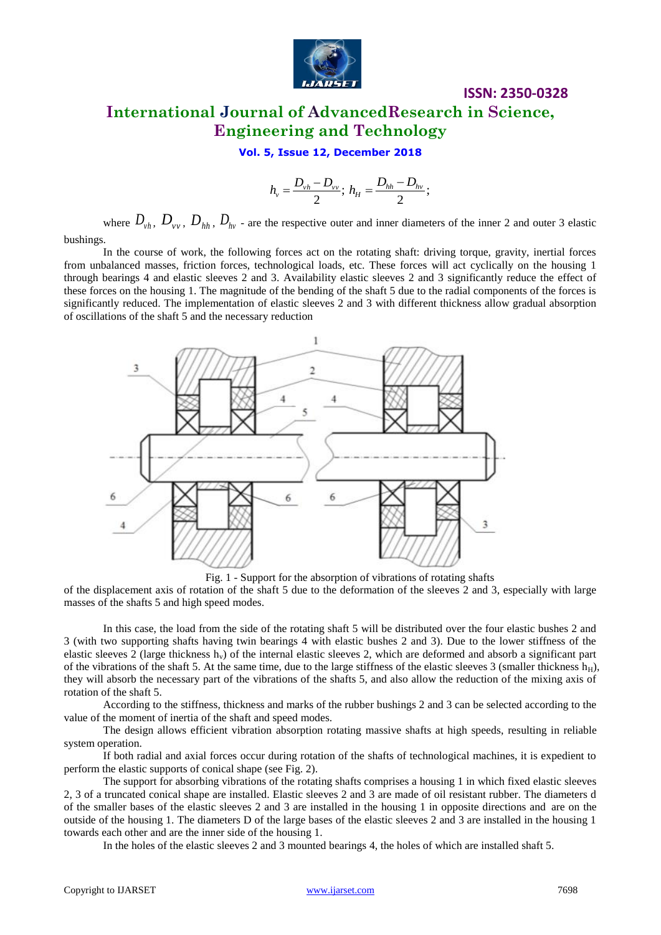

# **ISSN: 2350-0328 International Journal of AdvancedResearch in Science, Engineering and Technology**

## **Vol. 5, Issue 12, December 2018**

$$
h_{v} = \frac{D_{vh} - D_{vv}}{2};\; h_{H} = \frac{D_{hh} - D_{hv}}{2};\;
$$

where  $D_{vh}$ ,  $D_{vv}$ ,  $D_{hh}$ ,  $D_{hv}$  - are the respective outer and inner diameters of the inner 2 and outer 3 elastic

bushings.

In the course of work, the following forces act on the rotating shaft: driving torque, gravity, inertial forces from unbalanced masses, friction forces, technological loads, etc. These forces will act cyclically on the housing 1 through bearings 4 and elastic sleeves 2 and 3. Availability elastic sleeves 2 and 3 significantly reduce the effect of these forces on the housing 1. The magnitude of the bending of the shaft 5 due to the radial components of the forces is significantly reduced. The implementation of elastic sleeves 2 and 3 with different thickness allow gradual absorption of oscillations of the shaft 5 and the necessary reduction



Fig. 1 - Support for the absorption of vibrations of rotating shafts

of the displacement axis of rotation of the shaft 5 due to the deformation of the sleeves 2 and 3, especially with large masses of the shafts 5 and high speed modes.

In this case, the load from the side of the rotating shaft 5 will be distributed over the four elastic bushes 2 and 3 (with two supporting shafts having twin bearings 4 with elastic bushes 2 and 3). Due to the lower stiffness of the elastic sleeves 2 (large thickness  $h<sub>v</sub>$ ) of the internal elastic sleeves 2, which are deformed and absorb a significant part of the vibrations of the shaft 5. At the same time, due to the large stiffness of the elastic sleeves 3 (smaller thickness  $h_H$ ), they will absorb the necessary part of the vibrations of the shafts 5, and also allow the reduction of the mixing axis of rotation of the shaft 5.

According to the stiffness, thickness and marks of the rubber bushings 2 and 3 can be selected according to the value of the moment of inertia of the shaft and speed modes.

The design allows efficient vibration absorption rotating massive shafts at high speeds, resulting in reliable system operation.

If both radial and axial forces occur during rotation of the shafts of technological machines, it is expedient to perform the elastic supports of conical shape (see Fig. 2).

The support for absorbing vibrations of the rotating shafts comprises a housing 1 in which fixed elastic sleeves 2, 3 of a truncated conical shape are installed. Elastic sleeves 2 and 3 are made of oil resistant rubber. The diameters d of the smaller bases of the elastic sleeves 2 and 3 are installed in the housing 1 in opposite directions and are on the outside of the housing 1. The diameters D of the large bases of the elastic sleeves 2 and 3 are installed in the housing 1 towards each other and are the inner side of the housing 1.

In the holes of the elastic sleeves 2 and 3 mounted bearings 4, the holes of which are installed shaft 5.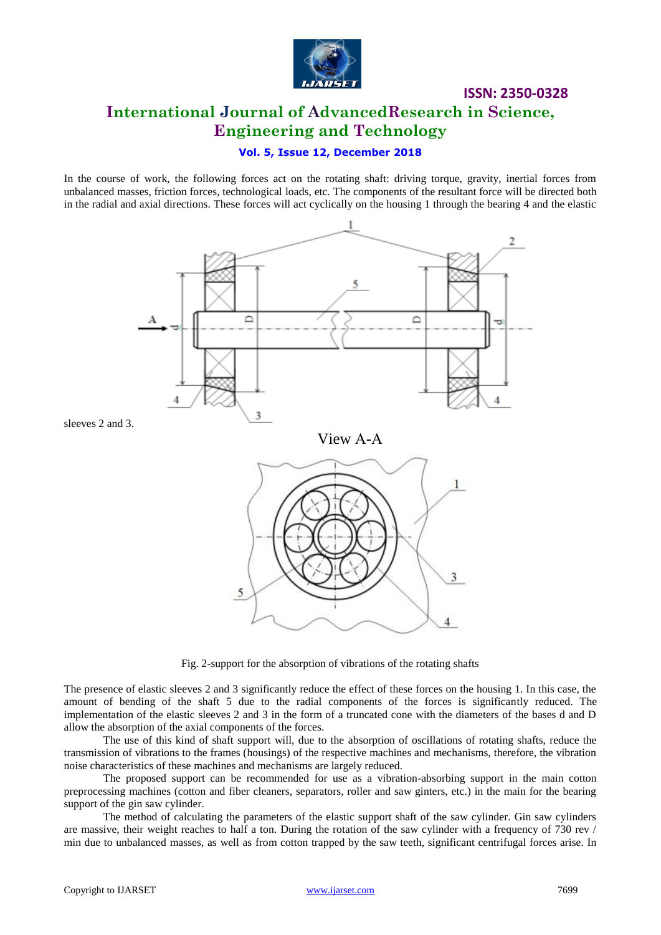

# **ISSN: 2350-0328 International Journal of AdvancedResearch in Science, Engineering and Technology**

### **Vol. 5, Issue 12, December 2018**

In the course of work, the following forces act on the rotating shaft: driving torque, gravity, inertial forces from unbalanced masses, friction forces, technological loads, etc. The components of the resultant force will be directed both in the radial and axial directions. These forces will act cyclically on the housing 1 through the bearing 4 and the elastic



Fig. 2-support for the absorption of vibrations of the rotating shafts

The presence of elastic sleeves 2 and 3 significantly reduce the effect of these forces on the housing 1. In this case, the amount of bending of the shaft 5 due to the radial components of the forces is significantly reduced. The implementation of the elastic sleeves 2 and 3 in the form of a truncated cone with the diameters of the bases d and D allow the absorption of the axial components of the forces.

The use of this kind of shaft support will, due to the absorption of oscillations of rotating shafts, reduce the transmission of vibrations to the frames (housings) of the respective machines and mechanisms, therefore, the vibration noise characteristics of these machines and mechanisms are largely reduced.

The proposed support can be recommended for use as a vibration-absorbing support in the main cotton preprocessing machines (cotton and fiber cleaners, separators, roller and saw ginters, etc.) in the main for the bearing support of the gin saw cylinder.

The method of calculating the parameters of the elastic support shaft of the saw cylinder. Gin saw cylinders are massive, their weight reaches to half a ton. During the rotation of the saw cylinder with a frequency of 730 rev / min due to unbalanced masses, as well as from cotton trapped by the saw teeth, significant centrifugal forces arise. In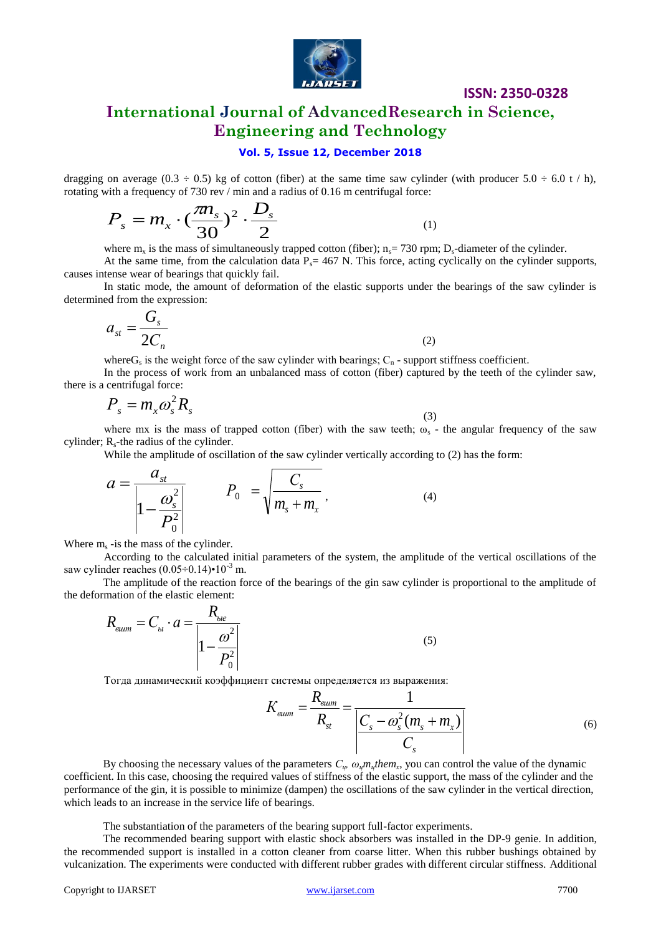

**International Journal of AdvancedResearch in Science, Engineering and Technology**

#### **Vol. 5, Issue 12, December 2018**

dragging on average (0.3  $\div$  0.5) kg of cotton (fiber) at the same time saw cylinder (with producer 5.0  $\div$  6.0 t / h), rotating with a frequency of 730 rev / min and a radius of 0.16 m centrifugal force:

$$
P_s = m_x \cdot (\frac{\pi n_s}{30})^2 \cdot \frac{D_s}{2}
$$

where  $m_x$  is the mass of simultaneously trapped cotton (fiber);  $n_s$  = 730 rpm;  $D_s$ -diameter of the cylinder.

(1)

At the same time, from the calculation data  $P_s = 467$  N. This force, acting cyclically on the cylinder supports, causes intense wear of bearings that quickly fail.

In static mode, the amount of deformation of the elastic supports under the bearings of the saw cylinder is determined from the expression:

$$
a_{st} = \frac{G_s}{2C_n} \tag{2}
$$

where  $G_s$  is the weight force of the saw cylinder with bearings;  $C_n$  - support stiffness coefficient.

In the process of work from an unbalanced mass of cotton (fiber) captured by the teeth of the cylinder saw, there is a centrifugal force:

$$
P_s = m_x \omega_s^2 R_s \tag{3}
$$

where mx is the mass of trapped cotton (fiber) with the saw teeth;  $\omega_s$  - the angular frequency of the saw cylinder;  $R_s$ -the radius of the cylinder.

While the amplitude of oscillation of the saw cylinder vertically according to (2) has the form:

$$
a = \frac{a_{st}}{\left|1 - \frac{\omega_s^2}{P_0^2}\right|} \qquad P_0 = \sqrt{\frac{C_s}{m_s + m_x}}, \qquad (4)
$$

Where  $m_s$  -is the mass of the cylinder.

According to the calculated initial parameters of the system, the amplitude of the vertical oscillations of the saw cylinder reaches  $(0.05\div0.14)\cdot10^{-3}$  m.

The amplitude of the reaction force of the bearings of the gin saw cylinder is proportional to the amplitude of the deformation of the elastic element:

$$
R_{\text{sum}} = C_{\text{b}} \cdot a = \frac{R_{\text{bie}}}{\left| 1 - \frac{\omega^2}{P_0^2} \right|} \tag{5}
$$

Тогда динамический коэффициент системы определяется из выражения:

$$
K_{\text{sum}} = \frac{R_{\text{sum}}}{R_{\text{st}}} = \frac{1}{\left| \frac{C_s - \omega_s^2 (m_s + m_x)}{C_s} \right|} \tag{6}
$$

By choosing the necessary values of the parameters  $C_{\psi}$ ,  $\omega_{\psi}m_{\psi}$ *hem*<sub>*x*</sub>, you can control the value of the dynamic coefficient. In this case, choosing the required values of stiffness of the elastic support, the mass of the cylinder and the performance of the gin, it is possible to minimize (dampen) the oscillations of the saw cylinder in the vertical direction, which leads to an increase in the service life of bearings.

The substantiation of the parameters of the bearing support full-factor experiments.

The recommended bearing support with elastic shock absorbers was installed in the DP-9 genie. In addition, the recommended support is installed in a cotton cleaner from coarse litter. When this rubber bushings obtained by vulcanization. The experiments were conducted with different rubber grades with different circular stiffness. Additional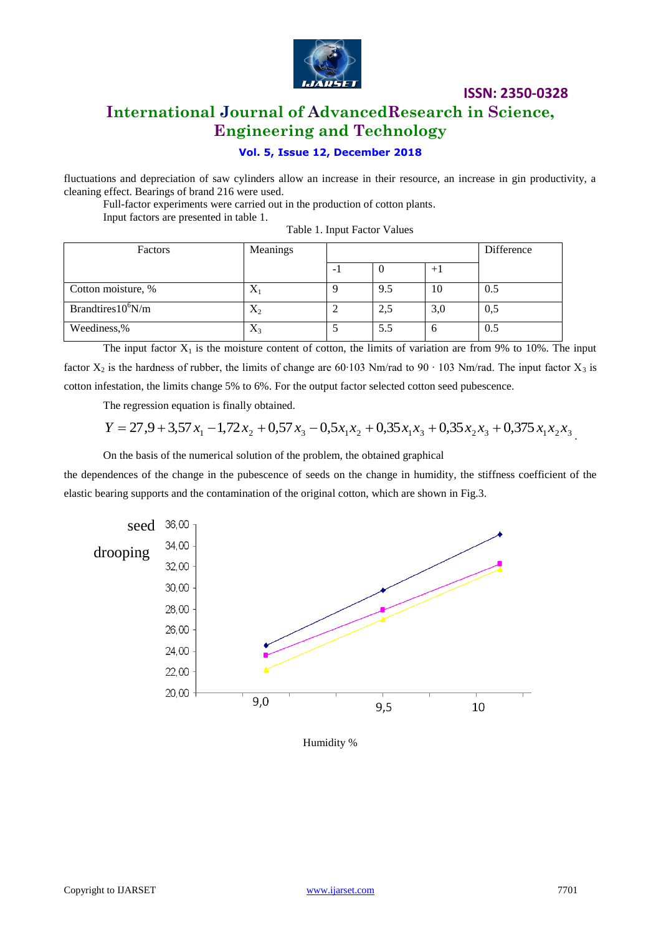

# **International Journal of AdvancedResearch in Science, Engineering and Technology**

## **Vol. 5, Issue 12, December 2018**

fluctuations and depreciation of saw cylinders allow an increase in their resource, an increase in gin productivity, a cleaning effect. Bearings of brand 216 were used.

Full-factor experiments were carried out in the production of cotton plants. Input factors are presented in table 1.

Table 1. Input Factor Values

| Factors               | Meanings  |     | Difference |     |
|-----------------------|-----------|-----|------------|-----|
|                       |           |     | $+1$       |     |
| Cotton moisture, %    | $\Lambda$ | 9.5 | 10         | 0.5 |
| Brandtires $10^6$ N/m | $X_2$     | 2,5 | 3,0        | 0,5 |
| Weediness,%           | $X_3$     | 5.5 | h          | 0.5 |

The input factor  $X_1$  is the moisture content of cotton, the limits of variation are from 9% to 10%. The input factor  $X_2$  is the hardness of rubber, the limits of change are 60∙103 Nm/rad to 90 ⋅ 103 Nm/rad. The input factor  $X_3$  is

cotton infestation, the limits change 5% to 6%. For the output factor selected cotton seed pubescence.

The regression equation is finally obtained.

$$
Y = 27.9 + 3.57 x_1 - 1.72 x_2 + 0.57 x_3 - 0.5 x_1 x_2 + 0.35 x_1 x_3 + 0.35 x_2 x_3 + 0.375 x_1 x_2 x_3
$$

On the basis of the numerical solution of the problem, the obtained graphical

the dependences of the change in the pubescence of seeds on the change in humidity, the stiffness coefficient of the elastic bearing supports and the contamination of the original cotton, which are shown in Fig.3.



Humidity %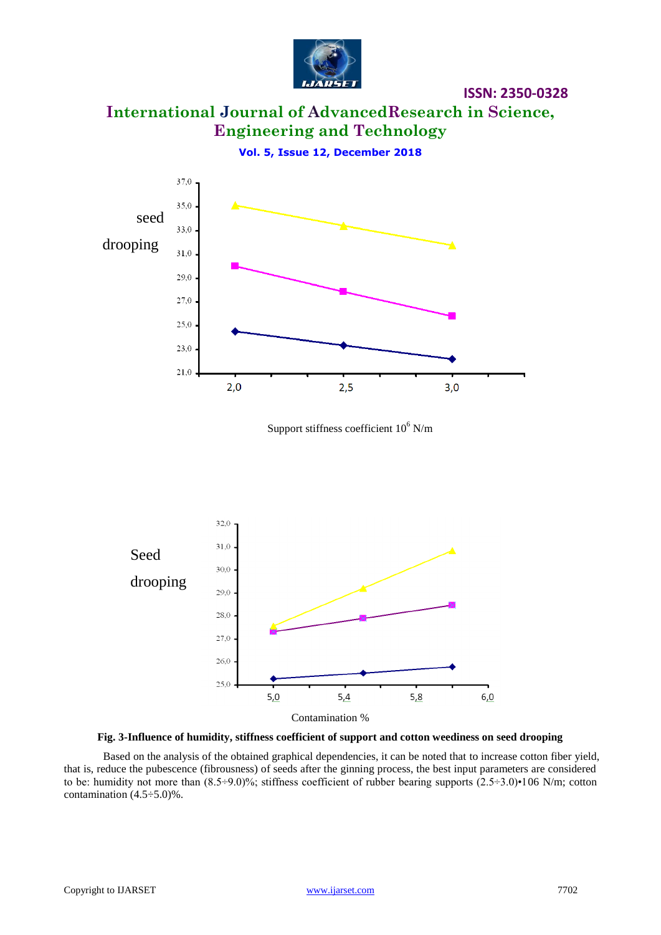

**International Journal of AdvancedResearch in Science, Engineering and Technology**

**Vol. 5, Issue 12, December 2018**



Support stiffness coefficient  $10^6$  N/m



**Fig. 3-Influence of humidity, stiffness coefficient of support and cotton weediness on seed drooping**

Based on the analysis of the obtained graphical dependencies, it can be noted that to increase cotton fiber yield, that is, reduce the pubescence (fibrousness) of seeds after the ginning process, the best input parameters are considered to be: humidity not more than  $(8.5\div 9.0)\%$ ; stiffness coefficient of rubber bearing supports  $(2.5\div 3.0)\cdot 106$  N/m; cotton contamination  $(4.5 \div 5.0)\%$ .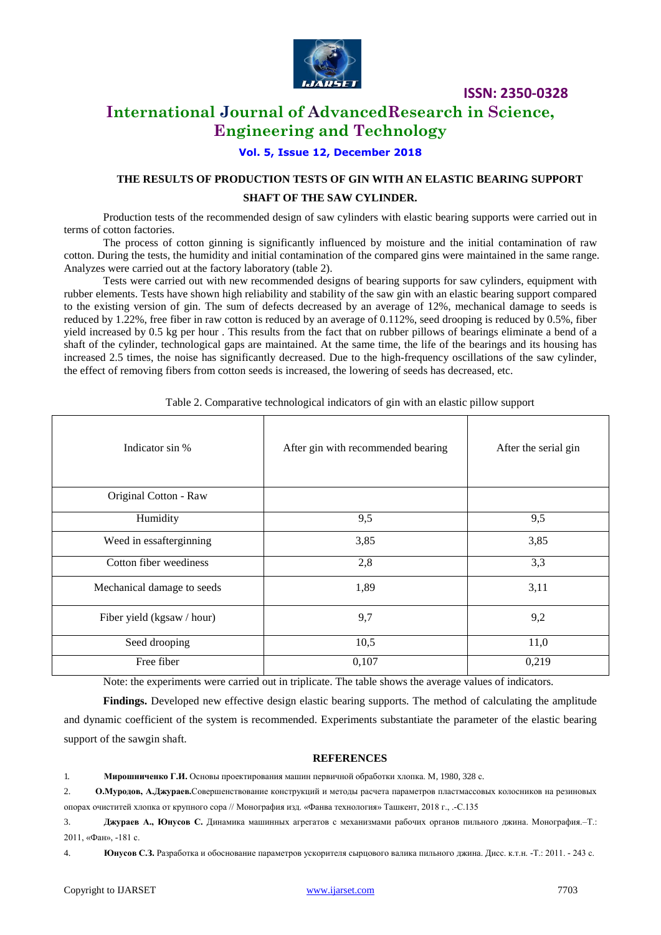

# **International Journal of AdvancedResearch in Science, Engineering and Technology**

**Vol. 5, Issue 12, December 2018**

# **THE RESULTS OF PRODUCTION TESTS OF GIN WITH AN ELASTIC BEARING SUPPORT SHAFT OF THE SAW CYLINDER.**

Production tests of the recommended design of saw cylinders with elastic bearing supports were carried out in terms of cotton factories.

The process of cotton ginning is significantly influenced by moisture and the initial contamination of raw cotton. During the tests, the humidity and initial contamination of the compared gins were maintained in the same range. Analyzes were carried out at the factory laboratory (table 2).

Tests were carried out with new recommended designs of bearing supports for saw cylinders, equipment with rubber elements. Tests have shown high reliability and stability of the saw gin with an elastic bearing support compared to the existing version of gin. The sum of defects decreased by an average of 12%, mechanical damage to seeds is reduced by 1.22%, free fiber in raw cotton is reduced by an average of 0.112%, seed drooping is reduced by 0.5%, fiber yield increased by 0.5 kg per hour . This results from the fact that on rubber pillows of bearings eliminate a bend of a shaft of the cylinder, technological gaps are maintained. At the same time, the life of the bearings and its housing has increased 2.5 times, the noise has significantly decreased. Due to the high-frequency oscillations of the saw cylinder, the effect of removing fibers from cotton seeds is increased, the lowering of seeds has decreased, etc.

| Indicator sin %            | After gin with recommended bearing | After the serial gin |
|----------------------------|------------------------------------|----------------------|
| Original Cotton - Raw      |                                    |                      |
| Humidity                   | 9,5                                | 9,5                  |
| Weed in essafterginning    | 3,85                               | 3,85                 |
| Cotton fiber weediness     | 2,8                                | 3,3                  |
| Mechanical damage to seeds | 1,89                               | 3,11                 |
| Fiber yield (kgsaw / hour) | 9,7                                | 9,2                  |
| Seed drooping              | 10,5                               | 11,0                 |
| Free fiber                 | 0,107                              | 0,219                |

Table 2. Comparative technological indicators of gin with an elastic pillow support

Note: the experiments were carried out in triplicate. The table shows the average values of indicators.

**Findings.** Developed new effective design elastic bearing supports. The method of calculating the amplitude and dynamic coefficient of the system is recommended. Experiments substantiate the parameter of the elastic bearing support of the sawgin shaft.

#### **REFERENCES**

1. **Мирошниченко Г.И.** Основы проектирования машин первичной обработки хлопка. М, 1980, 328 с.

2. **О.Муродов, А.Джураев.**Совершенствование конструкций и методы расчета параметров пластмассовых колосников на резиновых опорах очиститей хлопка от крупного сора // Монография изд. «Фанва технология» Ташкент, 2018 г., .-С.135

3. **Джураев А., Юнусов С.** Динамика машинных агрегатов с механизмами рабочих органов пильного джина. Монография.–Т.: 2011, «Фан», -181 с.

4. **Юнусов С.З.** Разработка и обоснование параметров ускорителя сырцового валика пильного джина. Дисс. к.т.н. -Т.: 2011. - 243 с.